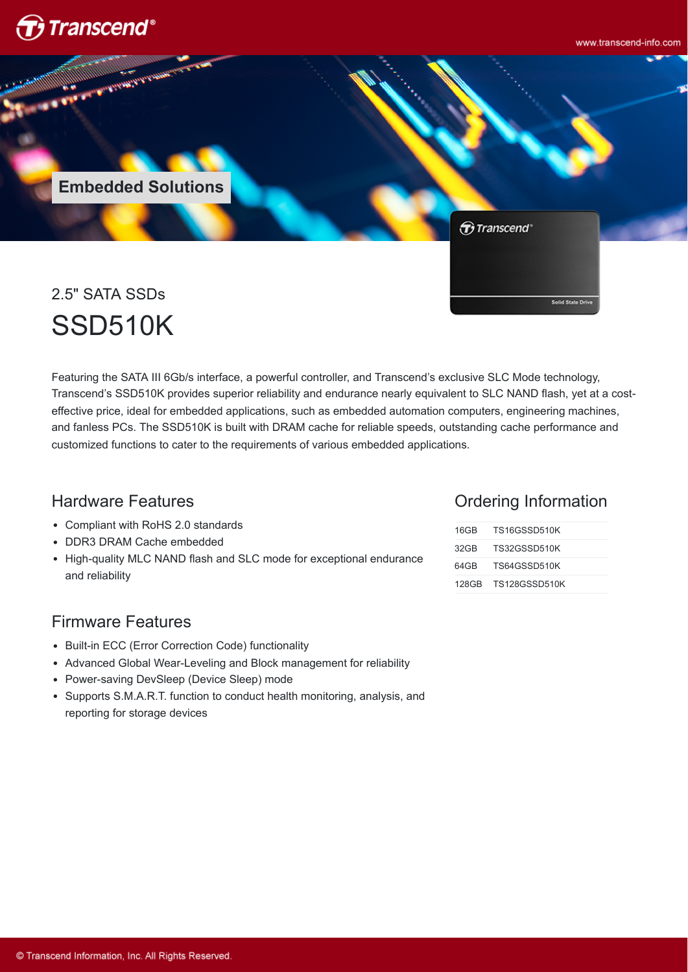

www.transcend-info.com

**Embedded Solutions**

Transcend<sup>®</sup>

2.5" SATA SSDs SSD510K

Featuring the SATA III 6Gb/s interface, a powerful controller, and Transcend's exclusive SLC Mode technology, Transcend's SSD510K provides superior reliability and endurance nearly equivalent to SLC NAND flash, yet at a costeffective price, ideal for embedded applications, such as embedded automation computers, engineering machines, and fanless PCs. The SSD510K is built with DRAM cache for reliable speeds, outstanding cache performance and customized functions to cater to the requirements of various embedded applications.

### Hardware Features

- Compliant with RoHS 2.0 standards
- DDR3 DRAM Cache embedded
- High-quality MLC NAND flash and SLC mode for exceptional endurance and reliability

### Firmware Features

- Built-in ECC (Error Correction Code) functionality
- Advanced Global Wear-Leveling and Block management for reliability
- Power-saving DevSleep (Device Sleep) mode
- Supports S.M.A.R.T. function to conduct health monitoring, analysis, and reporting for storage devices

### Ordering Information

**Solid State D** 

| 16GB | TS16GSSD510K        |
|------|---------------------|
| 32GB | TS32GSSD510K        |
| 64GB | TS64GSSD510K        |
|      | 128GB TS128GSSD510K |